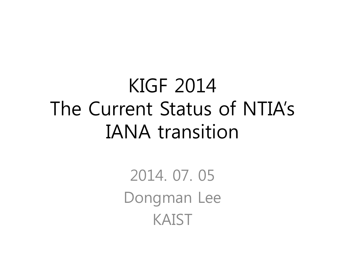#### KIGF 2014 The Current Status of NTIA's IANA transition

2014. 07. 05 Dongman Lee KAIST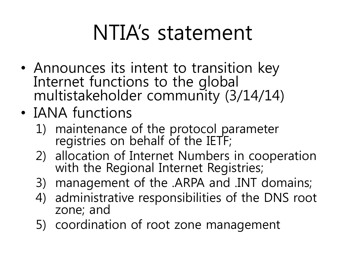### NTIA's statement

- Announces its intent to transition key Internet functions to the global multistakeholder community (3/14/14)
- IANA functions
	- 1) maintenance of the protocol parameter registries on behalf of the IETF;
	- 2) allocation of Internet Numbers in cooperation with the Regional Internet Registries;
	- 3) management of the .ARPA and .INT domains;
	- 4) administrative responsibilities of the DNS root zone; and
	- 5) coordination of root zone management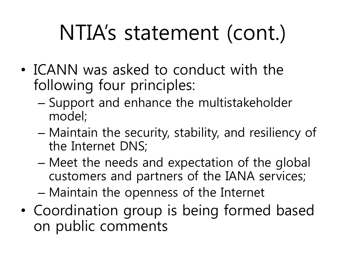## NTIA's statement (cont.)

- ICANN was asked to conduct with the following four principles:
	- Support and enhance the multistakeholder model;
	- Maintain the security, stability, and resiliency of the Internet DNS;
	- Meet the needs and expectation of the global customers and partners of the IANA services;
	- Maintain the openness of the Internet
- Coordination group is being formed based on public comments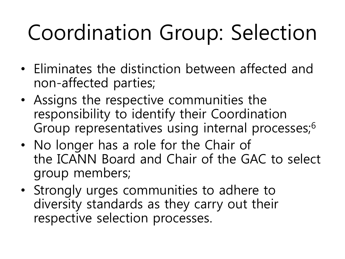# Coordination Group: Selection

- Eliminates the distinction between affected and non-affected parties;
- Assigns the respective communities the responsibility to identify their Coordination Group representatives using internal processes;<sup>6</sup>
- No longer has a role for the Chair of the ICANN Board and Chair of the GAC to select group members;
- Strongly urges communities to adhere to diversity standards as they carry out their respective selection processes.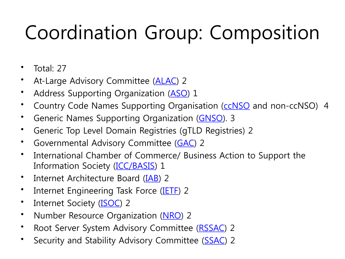#### Coordination Group: Composition

- Total: 27
- At-Large Advisory Committee ([AL](http://atlarge.icann.org/)[AC\) 2](https://aso.icann.org/)
- Address Supporting Organization (ASO) 1
- Country Code Names Supporting Organis[ation](http://gnso.icann.org/en/) (CCNSO and non-cCNSO) 4
- Generic Names Supporting Organization (GNSO). 3
- Generic Top Level Domain Registries [\(gTL](https://gacweb.icann.org/display/gacweb/Governmental+Advisory+Committee)D Registries) 2
- Governmental Advisory Committee (GAC) 2
- International Chamb[er of Comm](http://www.iccwbo.org/)erce/ Business Action to Support the Information Society (ICC/BA[SIS\)](http://www.iab.org/) 1
- Internet Architecture Board (IAB) [2](http://www.ietf.org/)
- Internet Enginee[ring T](http://www.internetsociety.org/)ask Force (IETF) 2
- Internet Society (**ISOC**) 2
- Number Resource Organization [\(NRO\)](http://www.nro.net/) 2
- [R](https://www.icann.org/resources/pages/rssac-4c-2012-02-25-en)oot Server System Advisory Committee (R[SSAC\)](https://www.icann.org/resources/pages/ssac-2012-02-25-en) 2
- Security and Stability Advisory Committee (SSAC) 2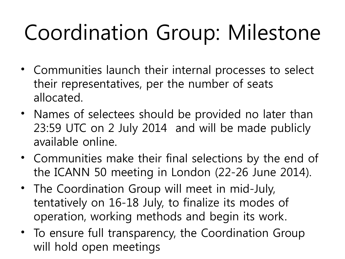# Coordination Group: Milestone

- Communities launch their internal processes to select their representatives, per the number of seats allocated.
- Names of selectees should be provided no later than 23:59 UTC on 2 July 2014 and will be made publicly available online.
- Communities make their final selections by the end of the ICANN 50 meeting in London (22-26 June 2014).
- The Coordination Group will meet in mid-July, tentatively on 16-18 July, to finalize its modes of operation, working methods and begin its work.
- To ensure full transparency, the Coordination Group will hold open meetings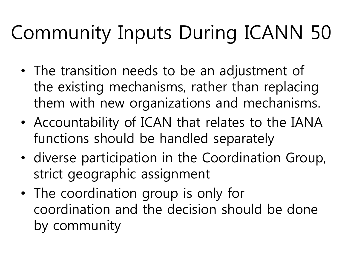### Community Inputs During ICANN 50

- The transition needs to be an adjustment of the existing mechanisms, rather than replacing them with new organizations and mechanisms.
- Accountability of ICAN that relates to the IANA functions should be handled separately
- diverse participation in the Coordination Group, strict geographic assignment
- The coordination group is only for coordination and the decision should be done by community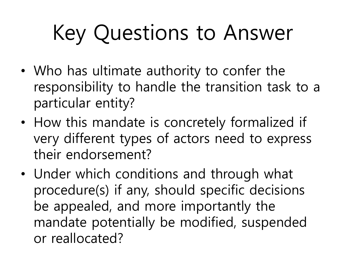# Key Questions to Answer

- Who has ultimate authority to confer the responsibility to handle the transition task to a particular entity?
- How this mandate is concretely formalized if very different types of actors need to express their endorsement?
- Under which conditions and through what procedure(s) if any, should specific decisions be appealed, and more importantly the mandate potentially be modified, suspended or reallocated?